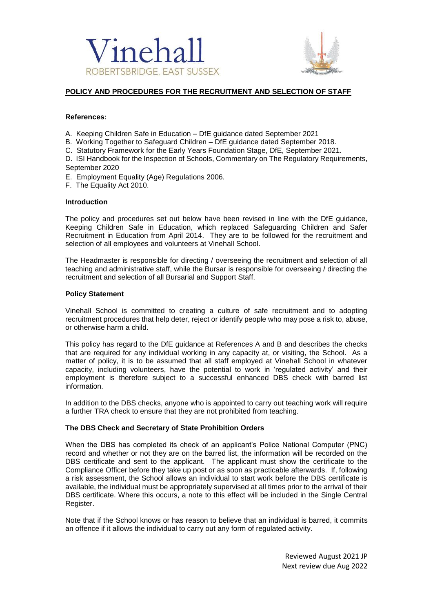



# **POLICY AND PROCEDURES FOR THE RECRUITMENT AND SELECTION OF STAFF**

## **References:**

- A. Keeping Children Safe in Education DfE guidance dated September 2021
- B. Working Together to Safeguard Children DfE guidance dated September 2018.
- C. Statutory Framework for the Early Years Foundation Stage, DfE, September 2021.

D. ISI Handbook for the Inspection of Schools, Commentary on The Regulatory Requirements, September 2020

- E. Employment Equality (Age) Regulations 2006.
- F. The Equality Act 2010.

## **Introduction**

The policy and procedures set out below have been revised in line with the DfE guidance, Keeping Children Safe in Education, which replaced Safeguarding Children and Safer Recruitment in Education from April 2014. They are to be followed for the recruitment and selection of all employees and volunteers at Vinehall School.

The Headmaster is responsible for directing / overseeing the recruitment and selection of all teaching and administrative staff, while the Bursar is responsible for overseeing / directing the recruitment and selection of all Bursarial and Support Staff.

## **Policy Statement**

Vinehall School is committed to creating a culture of safe recruitment and to adopting recruitment procedures that help deter, reject or identify people who may pose a risk to, abuse, or otherwise harm a child.

This policy has regard to the DfE guidance at References A and B and describes the checks that are required for any individual working in any capacity at, or visiting, the School. As a matter of policy, it is to be assumed that all staff employed at Vinehall School in whatever capacity, including volunteers, have the potential to work in 'regulated activity' and their employment is therefore subject to a successful enhanced DBS check with barred list information.

In addition to the DBS checks, anyone who is appointed to carry out teaching work will require a further TRA check to ensure that they are not prohibited from teaching.

# **The DBS Check and Secretary of State Prohibition Orders**

When the DBS has completed its check of an applicant's Police National Computer (PNC) record and whether or not they are on the barred list, the information will be recorded on the DBS certificate and sent to the applicant. The applicant must show the certificate to the Compliance Officer before they take up post or as soon as practicable afterwards. If, following a risk assessment, the School allows an individual to start work before the DBS certificate is available, the individual must be appropriately supervised at all times prior to the arrival of their DBS certificate. Where this occurs, a note to this effect will be included in the Single Central Register.

Note that if the School knows or has reason to believe that an individual is barred, it commits an offence if it allows the individual to carry out any form of regulated activity.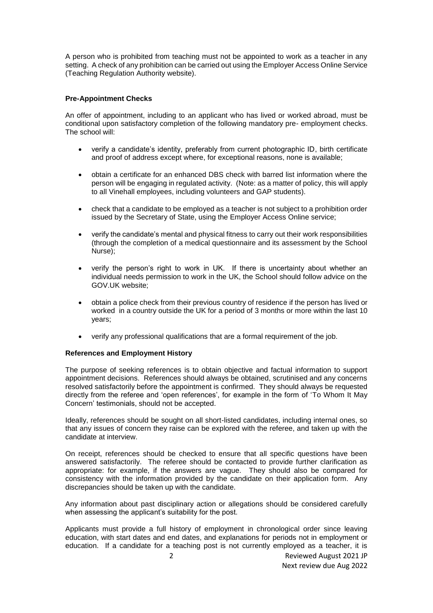A person who is prohibited from teaching must not be appointed to work as a teacher in any setting. A check of any prohibition can be carried out using the Employer Access Online Service (Teaching Regulation Authority website).

## **Pre-Appointment Checks**

An offer of appointment, including to an applicant who has lived or worked abroad, must be conditional upon satisfactory completion of the following mandatory pre- employment checks. The school will:

- verify a candidate's identity, preferably from current photographic ID, birth certificate and proof of address except where, for exceptional reasons, none is available;
- obtain a certificate for an enhanced DBS check with barred list information where the person will be engaging in regulated activity. (Note: as a matter of policy, this will apply to all Vinehall employees, including volunteers and GAP students).
- check that a candidate to be employed as a teacher is not subject to a prohibition order issued by the Secretary of State, using the Employer Access Online service;
- verify the candidate's mental and physical fitness to carry out their work responsibilities (through the completion of a medical questionnaire and its assessment by the School Nurse);
- verify the person's right to work in UK. If there is uncertainty about whether an individual needs permission to work in the UK, the School should follow advice on the GOV.UK website;
- obtain a police check from their previous country of residence if the person has lived or worked in a country outside the UK for a period of 3 months or more within the last 10 years;
- verify any professional qualifications that are a formal requirement of the job.

#### **References and Employment History**

The purpose of seeking references is to obtain objective and factual information to support appointment decisions. References should always be obtained, scrutinised and any concerns resolved satisfactorily before the appointment is confirmed. They should always be requested directly from the referee and 'open references', for example in the form of 'To Whom It May Concern' testimonials, should not be accepted.

Ideally, references should be sought on all short-listed candidates, including internal ones, so that any issues of concern they raise can be explored with the referee, and taken up with the candidate at interview.

On receipt, references should be checked to ensure that all specific questions have been answered satisfactorily. The referee should be contacted to provide further clarification as appropriate: for example, if the answers are vague. They should also be compared for consistency with the information provided by the candidate on their application form. Any discrepancies should be taken up with the candidate.

Any information about past disciplinary action or allegations should be considered carefully when assessing the applicant's suitability for the post.

Applicants must provide a full history of employment in chronological order since leaving education, with start dates and end dates, and explanations for periods not in employment or education. If a candidate for a teaching post is not currently employed as a teacher, it is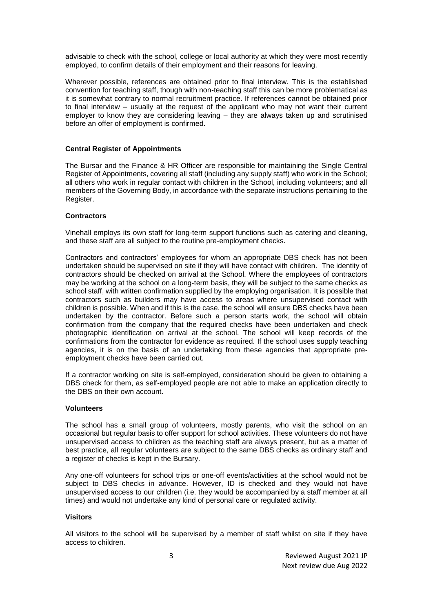advisable to check with the school, college or local authority at which they were most recently employed, to confirm details of their employment and their reasons for leaving.

Wherever possible, references are obtained prior to final interview. This is the established convention for teaching staff, though with non-teaching staff this can be more problematical as it is somewhat contrary to normal recruitment practice. If references cannot be obtained prior to final interview – usually at the request of the applicant who may not want their current employer to know they are considering leaving – they are always taken up and scrutinised before an offer of employment is confirmed.

## **Central Register of Appointments**

The Bursar and the Finance & HR Officer are responsible for maintaining the Single Central Register of Appointments, covering all staff (including any supply staff) who work in the School; all others who work in regular contact with children in the School, including volunteers; and all members of the Governing Body, in accordance with the separate instructions pertaining to the Register.

#### **Contractors**

Vinehall employs its own staff for long-term support functions such as catering and cleaning, and these staff are all subject to the routine pre-employment checks.

Contractors and contractors' employees for whom an appropriate DBS check has not been undertaken should be supervised on site if they will have contact with children. The identity of contractors should be checked on arrival at the School. Where the employees of contractors may be working at the school on a long-term basis, they will be subject to the same checks as school staff, with written confirmation supplied by the employing organisation. It is possible that contractors such as builders may have access to areas where unsupervised contact with children is possible. When and if this is the case, the school will ensure DBS checks have been undertaken by the contractor. Before such a person starts work, the school will obtain confirmation from the company that the required checks have been undertaken and check photographic identification on arrival at the school. The school will keep records of the confirmations from the contractor for evidence as required. If the school uses supply teaching agencies, it is on the basis of an undertaking from these agencies that appropriate preemployment checks have been carried out.

If a contractor working on site is self-employed, consideration should be given to obtaining a DBS check for them, as self-employed people are not able to make an application directly to the DBS on their own account.

#### **Volunteers**

The school has a small group of volunteers, mostly parents, who visit the school on an occasional but regular basis to offer support for school activities. These volunteers do not have unsupervised access to children as the teaching staff are always present, but as a matter of best practice, all regular volunteers are subject to the same DBS checks as ordinary staff and a register of checks is kept in the Bursary.

Any one-off volunteers for school trips or one-off events/activities at the school would not be subject to DBS checks in advance. However, ID is checked and they would not have unsupervised access to our children (i.e. they would be accompanied by a staff member at all times) and would not undertake any kind of personal care or regulated activity.

#### **Visitors**

All visitors to the school will be supervised by a member of staff whilst on site if they have access to children.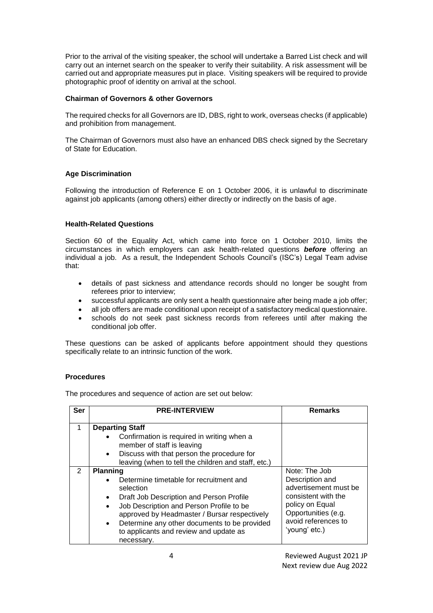Prior to the arrival of the visiting speaker, the school will undertake a Barred List check and will carry out an internet search on the speaker to verify their suitability. A risk assessment will be carried out and appropriate measures put in place. Visiting speakers will be required to provide photographic proof of identity on arrival at the school.

## **Chairman of Governors & other Governors**

The required checks for all Governors are ID, DBS, right to work, overseas checks (if applicable) and prohibition from management.

The Chairman of Governors must also have an enhanced DBS check signed by the Secretary of State for Education.

# **Age Discrimination**

Following the introduction of Reference E on 1 October 2006, it is unlawful to discriminate against job applicants (among others) either directly or indirectly on the basis of age.

## **Health-Related Questions**

Section 60 of the Equality Act, which came into force on 1 October 2010, limits the circumstances in which employers can ask health-related questions *before* offering an individual a job. As a result, the Independent Schools Council's (ISC's) Legal Team advise that:

- details of past sickness and attendance records should no longer be sought from referees prior to interview;
- successful applicants are only sent a health questionnaire after being made a job offer;
- all job offers are made conditional upon receipt of a satisfactory medical questionnaire.
- schools do not seek past sickness records from referees until after making the conditional job offer.

These questions can be asked of applicants before appointment should they questions specifically relate to an intrinsic function of the work.

#### **Procedures**

The procedures and sequence of action are set out below:

| <b>Ser</b>    | <b>PRE-INTERVIEW</b>                                                                                                                                                                                                                                                                                                                                                        | <b>Remarks</b>                                                                                                                                                     |
|---------------|-----------------------------------------------------------------------------------------------------------------------------------------------------------------------------------------------------------------------------------------------------------------------------------------------------------------------------------------------------------------------------|--------------------------------------------------------------------------------------------------------------------------------------------------------------------|
| 1             | <b>Departing Staff</b><br>Confirmation is required in writing when a<br>$\bullet$<br>member of staff is leaving<br>Discuss with that person the procedure for<br>$\bullet$<br>leaving (when to tell the children and staff, etc.)                                                                                                                                           |                                                                                                                                                                    |
| $\mathcal{P}$ | <b>Planning</b><br>Determine timetable for recruitment and<br>$\bullet$<br>selection<br>Draft Job Description and Person Profile<br>$\bullet$<br>Job Description and Person Profile to be<br>$\bullet$<br>approved by Headmaster / Bursar respectively<br>Determine any other documents to be provided<br>$\bullet$<br>to applicants and review and update as<br>necessary. | Note: The Job<br>Description and<br>advertisement must be<br>consistent with the<br>policy on Equal<br>Opportunities (e.g.<br>avoid references to<br>'young' etc.) |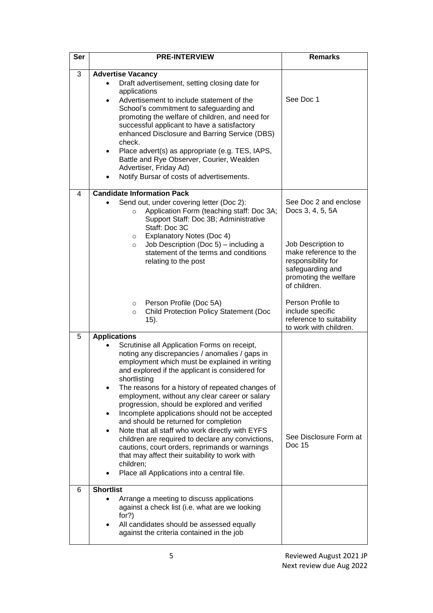| Ser | <b>PRE-INTERVIEW</b>                                                                                                                                                                                                                                                                                                                                                                                                                                                                                                                                                                                                                                                                                                                                                            | <b>Remarks</b>                                                                                                                                                              |
|-----|---------------------------------------------------------------------------------------------------------------------------------------------------------------------------------------------------------------------------------------------------------------------------------------------------------------------------------------------------------------------------------------------------------------------------------------------------------------------------------------------------------------------------------------------------------------------------------------------------------------------------------------------------------------------------------------------------------------------------------------------------------------------------------|-----------------------------------------------------------------------------------------------------------------------------------------------------------------------------|
| 3   | <b>Advertise Vacancy</b><br>Draft advertisement, setting closing date for<br>applications<br>Advertisement to include statement of the<br>$\bullet$<br>School's commitment to safeguarding and<br>promoting the welfare of children, and need for<br>successful applicant to have a satisfactory<br>enhanced Disclosure and Barring Service (DBS)<br>check.<br>Place advert(s) as appropriate (e.g. TES, IAPS,<br>$\bullet$<br>Battle and Rye Observer, Courier, Wealden<br>Advertiser, Friday Ad)<br>Notify Bursar of costs of advertisements.                                                                                                                                                                                                                                 | See Doc 1                                                                                                                                                                   |
| 4   | <b>Candidate Information Pack</b><br>Send out, under covering letter (Doc 2):<br>Application Form (teaching staff: Doc 3A;<br>$\circ$<br>Support Staff: Doc 3B; Administrative<br>Staff: Doc 3C<br><b>Explanatory Notes (Doc 4)</b><br>$\circ$<br>Job Description (Doc 5) - including a<br>$\circ$<br>statement of the terms and conditions<br>relating to the post                                                                                                                                                                                                                                                                                                                                                                                                             | See Doc 2 and enclose<br>Docs 3, 4, 5, 5A<br>Job Description to<br>make reference to the<br>responsibility for<br>safeguarding and<br>promoting the welfare<br>of children. |
|     | Person Profile (Doc 5A)<br>$\circ$<br><b>Child Protection Policy Statement (Doc</b><br>$\circ$<br>15).                                                                                                                                                                                                                                                                                                                                                                                                                                                                                                                                                                                                                                                                          | Person Profile to<br>include specific<br>reference to suitability<br>to work with children.                                                                                 |
| 5   | <b>Applications</b><br>Scrutinise all Application Forms on receipt,<br>noting any discrepancies / anomalies / gaps in<br>employment which must be explained in writing<br>and explored if the applicant is considered for<br>shortlisting<br>The reasons for a history of repeated changes of<br>employment, without any clear career or salary<br>progression, should be explored and verified<br>Incomplete applications should not be accepted<br>and should be returned for completion<br>Note that all staff who work directly with EYFS<br>$\bullet$<br>children are required to declare any convictions,<br>cautions, court orders, reprimands or warnings<br>that may affect their suitability to work with<br>children;<br>Place all Applications into a central file. | See Disclosure Form at<br>Doc 15                                                                                                                                            |
| 6   | <b>Shortlist</b><br>Arrange a meeting to discuss applications<br>against a check list (i.e. what are we looking<br>for?)<br>All candidates should be assessed equally<br>against the criteria contained in the job                                                                                                                                                                                                                                                                                                                                                                                                                                                                                                                                                              |                                                                                                                                                                             |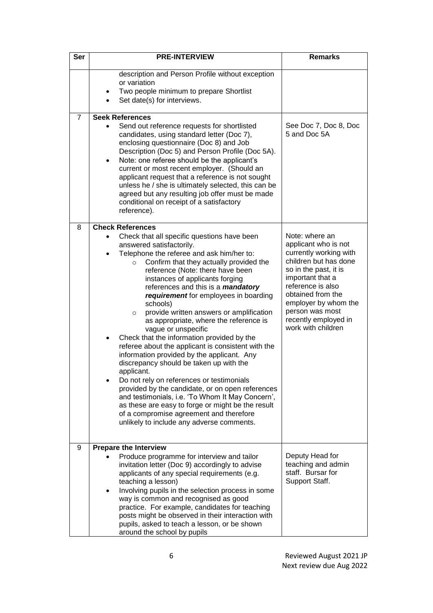| Ser            | <b>PRE-INTERVIEW</b>                                                                                                                                                                                                                                                                                                                                                                                                                                                                                                                                                                                                                                                                                                                                                                                                                                                                                                                                                                                                             | <b>Remarks</b>                                                                                                                                                                                                                                                            |
|----------------|----------------------------------------------------------------------------------------------------------------------------------------------------------------------------------------------------------------------------------------------------------------------------------------------------------------------------------------------------------------------------------------------------------------------------------------------------------------------------------------------------------------------------------------------------------------------------------------------------------------------------------------------------------------------------------------------------------------------------------------------------------------------------------------------------------------------------------------------------------------------------------------------------------------------------------------------------------------------------------------------------------------------------------|---------------------------------------------------------------------------------------------------------------------------------------------------------------------------------------------------------------------------------------------------------------------------|
|                | description and Person Profile without exception<br>or variation<br>Two people minimum to prepare Shortlist<br>Set date(s) for interviews.                                                                                                                                                                                                                                                                                                                                                                                                                                                                                                                                                                                                                                                                                                                                                                                                                                                                                       |                                                                                                                                                                                                                                                                           |
| $\overline{7}$ | <b>Seek References</b><br>Send out reference requests for shortlisted<br>$\bullet$<br>candidates, using standard letter (Doc 7),<br>enclosing questionnaire (Doc 8) and Job<br>Description (Doc 5) and Person Profile (Doc 5A).<br>Note: one referee should be the applicant's<br>$\bullet$<br>current or most recent employer. (Should an<br>applicant request that a reference is not sought<br>unless he / she is ultimately selected, this can be<br>agreed but any resulting job offer must be made<br>conditional on receipt of a satisfactory<br>reference).                                                                                                                                                                                                                                                                                                                                                                                                                                                              | See Doc 7, Doc 8, Doc<br>5 and Doc 5A                                                                                                                                                                                                                                     |
| 8              | <b>Check References</b><br>Check that all specific questions have been<br>answered satisfactorily.<br>Telephone the referee and ask him/her to:<br>Confirm that they actually provided the<br>$\circ$<br>reference (Note: there have been<br>instances of applicants forging<br>references and this is a <i>mandatory</i><br>requirement for employees in boarding<br>schools)<br>provide written answers or amplification<br>$\circ$<br>as appropriate, where the reference is<br>vague or unspecific<br>Check that the information provided by the<br>$\bullet$<br>referee about the applicant is consistent with the<br>information provided by the applicant. Any<br>discrepancy should be taken up with the<br>applicant.<br>Do not rely on references or testimonials<br>provided by the candidate, or on open references<br>and testimonials, i.e. 'To Whom It May Concern',<br>as these are easy to forge or might be the result<br>of a compromise agreement and therefore<br>unlikely to include any adverse comments. | Note: where an<br>applicant who is not<br>currently working with<br>children but has done<br>so in the past, it is<br>important that a<br>reference is also<br>obtained from the<br>employer by whom the<br>person was most<br>recently employed in<br>work with children |
| 9              | <b>Prepare the Interview</b><br>Produce programme for interview and tailor<br>invitation letter (Doc 9) accordingly to advise<br>applicants of any special requirements (e.g.<br>teaching a lesson)<br>Involving pupils in the selection process in some<br>٠<br>way is common and recognised as good<br>practice. For example, candidates for teaching<br>posts might be observed in their interaction with<br>pupils, asked to teach a lesson, or be shown<br>around the school by pupils                                                                                                                                                                                                                                                                                                                                                                                                                                                                                                                                      | Deputy Head for<br>teaching and admin<br>staff. Bursar for<br>Support Staff.                                                                                                                                                                                              |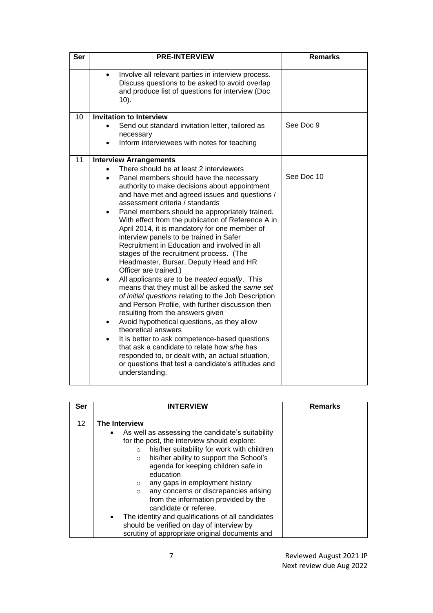| Ser | <b>PRE-INTERVIEW</b>                                                                                                                                                                                                                                                                                                                                                                                                                                                                                                                                                                                                                                                                                                                                                                                                                                                                                                                                                                                                                                                                                                                                            | <b>Remarks</b> |
|-----|-----------------------------------------------------------------------------------------------------------------------------------------------------------------------------------------------------------------------------------------------------------------------------------------------------------------------------------------------------------------------------------------------------------------------------------------------------------------------------------------------------------------------------------------------------------------------------------------------------------------------------------------------------------------------------------------------------------------------------------------------------------------------------------------------------------------------------------------------------------------------------------------------------------------------------------------------------------------------------------------------------------------------------------------------------------------------------------------------------------------------------------------------------------------|----------------|
|     | Involve all relevant parties in interview process.<br>Discuss questions to be asked to avoid overlap<br>and produce list of questions for interview (Doc<br>$10$ ).                                                                                                                                                                                                                                                                                                                                                                                                                                                                                                                                                                                                                                                                                                                                                                                                                                                                                                                                                                                             |                |
| 10  | <b>Invitation to Interview</b><br>Send out standard invitation letter, tailored as                                                                                                                                                                                                                                                                                                                                                                                                                                                                                                                                                                                                                                                                                                                                                                                                                                                                                                                                                                                                                                                                              | See Doc 9      |
|     | necessary                                                                                                                                                                                                                                                                                                                                                                                                                                                                                                                                                                                                                                                                                                                                                                                                                                                                                                                                                                                                                                                                                                                                                       |                |
|     | Inform interviewees with notes for teaching                                                                                                                                                                                                                                                                                                                                                                                                                                                                                                                                                                                                                                                                                                                                                                                                                                                                                                                                                                                                                                                                                                                     |                |
| 11  | <b>Interview Arrangements</b>                                                                                                                                                                                                                                                                                                                                                                                                                                                                                                                                                                                                                                                                                                                                                                                                                                                                                                                                                                                                                                                                                                                                   |                |
|     | There should be at least 2 interviewers<br>Panel members should have the necessary<br>$\bullet$<br>authority to make decisions about appointment<br>and have met and agreed issues and questions /<br>assessment criteria / standards<br>Panel members should be appropriately trained.<br>With effect from the publication of Reference A in<br>April 2014, it is mandatory for one member of<br>interview panels to be trained in Safer<br>Recruitment in Education and involved in all<br>stages of the recruitment process. (The<br>Headmaster, Bursar, Deputy Head and HR<br>Officer are trained.)<br>All applicants are to be treated equally. This<br>means that they must all be asked the same set<br>of initial questions relating to the Job Description<br>and Person Profile, with further discussion then<br>resulting from the answers given<br>Avoid hypothetical questions, as they allow<br>theoretical answers<br>It is better to ask competence-based questions<br>that ask a candidate to relate how s/he has<br>responded to, or dealt with, an actual situation,<br>or questions that test a candidate's attitudes and<br>understanding. | See Doc 10     |

| Ser | <b>INTERVIEW</b>                                                                                                                                                                                                                                                                                                                                                                                                                                  | Remarks |
|-----|---------------------------------------------------------------------------------------------------------------------------------------------------------------------------------------------------------------------------------------------------------------------------------------------------------------------------------------------------------------------------------------------------------------------------------------------------|---------|
| 12  | The Interview                                                                                                                                                                                                                                                                                                                                                                                                                                     |         |
|     | As well as assessing the candidate's suitability<br>$\bullet$<br>for the post, the interview should explore:<br>his/her suitability for work with children<br>$\circ$<br>his/her ability to support the School's<br>$\circ$<br>agenda for keeping children safe in<br>education<br>any gaps in employment history<br>$\circ$<br>any concerns or discrepancies arising<br>$\circ$<br>from the information provided by the<br>candidate or referee. |         |
|     | The identity and qualifications of all candidates<br>should be verified on day of interview by                                                                                                                                                                                                                                                                                                                                                    |         |
|     | scrutiny of appropriate original documents and                                                                                                                                                                                                                                                                                                                                                                                                    |         |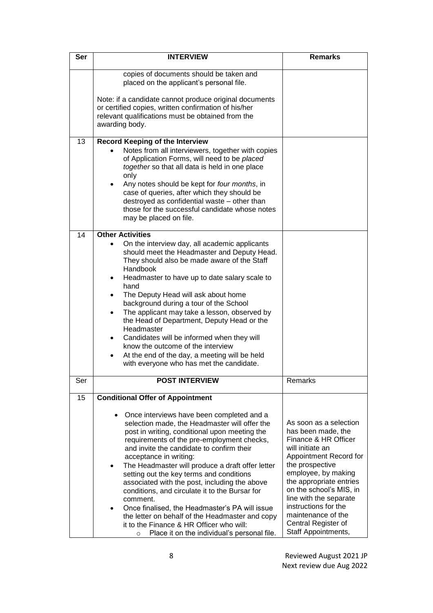| Ser | <b>INTERVIEW</b>                                                                                                                                                                                                                                                                                                                                                                                                                                                                                                                                                                                                                                                                                             | <b>Remarks</b>                                                                                                                                                                                                                                                                                                                           |
|-----|--------------------------------------------------------------------------------------------------------------------------------------------------------------------------------------------------------------------------------------------------------------------------------------------------------------------------------------------------------------------------------------------------------------------------------------------------------------------------------------------------------------------------------------------------------------------------------------------------------------------------------------------------------------------------------------------------------------|------------------------------------------------------------------------------------------------------------------------------------------------------------------------------------------------------------------------------------------------------------------------------------------------------------------------------------------|
|     | copies of documents should be taken and<br>placed on the applicant's personal file.                                                                                                                                                                                                                                                                                                                                                                                                                                                                                                                                                                                                                          |                                                                                                                                                                                                                                                                                                                                          |
|     | Note: if a candidate cannot produce original documents<br>or certified copies, written confirmation of his/her<br>relevant qualifications must be obtained from the<br>awarding body.                                                                                                                                                                                                                                                                                                                                                                                                                                                                                                                        |                                                                                                                                                                                                                                                                                                                                          |
| 13  | <b>Record Keeping of the Interview</b><br>Notes from all interviewers, together with copies<br>of Application Forms, will need to be placed<br>together so that all data is held in one place<br>only<br>Any notes should be kept for four months, in<br>case of queries, after which they should be<br>destroyed as confidential waste - other than<br>those for the successful candidate whose notes<br>may be placed on file.                                                                                                                                                                                                                                                                             |                                                                                                                                                                                                                                                                                                                                          |
| 14  | <b>Other Activities</b>                                                                                                                                                                                                                                                                                                                                                                                                                                                                                                                                                                                                                                                                                      |                                                                                                                                                                                                                                                                                                                                          |
|     | On the interview day, all academic applicants<br>should meet the Headmaster and Deputy Head.<br>They should also be made aware of the Staff<br>Handbook<br>Headmaster to have up to date salary scale to<br>٠<br>hand<br>The Deputy Head will ask about home<br>$\bullet$<br>background during a tour of the School<br>The applicant may take a lesson, observed by<br>$\bullet$<br>the Head of Department, Deputy Head or the<br>Headmaster<br>Candidates will be informed when they will<br>٠<br>know the outcome of the interview<br>At the end of the day, a meeting will be held<br>$\bullet$<br>with everyone who has met the candidate.                                                               |                                                                                                                                                                                                                                                                                                                                          |
| Ser | <b>POST INTERVIEW</b>                                                                                                                                                                                                                                                                                                                                                                                                                                                                                                                                                                                                                                                                                        | Remarks                                                                                                                                                                                                                                                                                                                                  |
| 15  | <b>Conditional Offer of Appointment</b>                                                                                                                                                                                                                                                                                                                                                                                                                                                                                                                                                                                                                                                                      |                                                                                                                                                                                                                                                                                                                                          |
|     | Once interviews have been completed and a<br>selection made, the Headmaster will offer the<br>post in writing, conditional upon meeting the<br>requirements of the pre-employment checks,<br>and invite the candidate to confirm their<br>acceptance in writing:<br>The Headmaster will produce a draft offer letter<br>٠<br>setting out the key terms and conditions<br>associated with the post, including the above<br>conditions, and circulate it to the Bursar for<br>comment.<br>Once finalised, the Headmaster's PA will issue<br>$\bullet$<br>the letter on behalf of the Headmaster and copy<br>it to the Finance & HR Officer who will:<br>Place it on the individual's personal file.<br>$\circ$ | As soon as a selection<br>has been made, the<br>Finance & HR Officer<br>will initiate an<br>Appointment Record for<br>the prospective<br>employee, by making<br>the appropriate entries<br>on the school's MIS, in<br>line with the separate<br>instructions for the<br>maintenance of the<br>Central Register of<br>Staff Appointments, |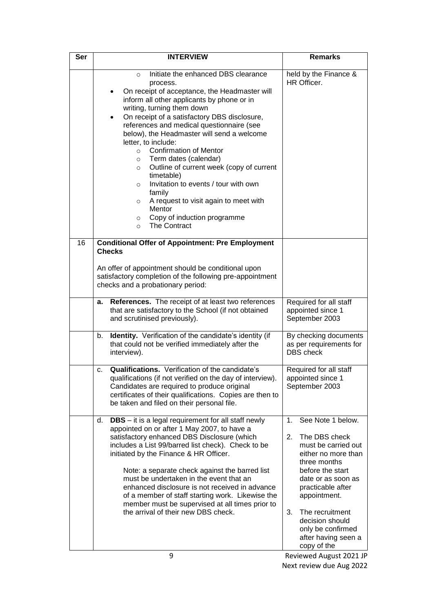| Ser | <b>INTERVIEW</b>                                                                                                                                                                                                                                                                                                                                                                                                                                                                                                                                                                                                                                                                                                                     | <b>Remarks</b>                                                                                                                                                                                                                                                                                     |
|-----|--------------------------------------------------------------------------------------------------------------------------------------------------------------------------------------------------------------------------------------------------------------------------------------------------------------------------------------------------------------------------------------------------------------------------------------------------------------------------------------------------------------------------------------------------------------------------------------------------------------------------------------------------------------------------------------------------------------------------------------|----------------------------------------------------------------------------------------------------------------------------------------------------------------------------------------------------------------------------------------------------------------------------------------------------|
|     | Initiate the enhanced DBS clearance<br>$\Omega$<br>process.<br>On receipt of acceptance, the Headmaster will<br>inform all other applicants by phone or in<br>writing, turning them down<br>On receipt of a satisfactory DBS disclosure,<br>$\bullet$<br>references and medical questionnaire (see<br>below), the Headmaster will send a welcome<br>letter, to include:<br><b>Confirmation of Mentor</b><br>$\circ$<br>Term dates (calendar)<br>$\circ$<br>Outline of current week (copy of current<br>$\circ$<br>timetable)<br>Invitation to events / tour with own<br>$\circ$<br>family<br>A request to visit again to meet with<br>$\circ$<br>Mentor<br>Copy of induction programme<br>$\circ$<br><b>The Contract</b><br>$\Omega$ | held by the Finance &<br>HR Officer.                                                                                                                                                                                                                                                               |
| 16  | <b>Conditional Offer of Appointment: Pre Employment</b><br><b>Checks</b>                                                                                                                                                                                                                                                                                                                                                                                                                                                                                                                                                                                                                                                             |                                                                                                                                                                                                                                                                                                    |
|     | An offer of appointment should be conditional upon<br>satisfactory completion of the following pre-appointment<br>checks and a probationary period:                                                                                                                                                                                                                                                                                                                                                                                                                                                                                                                                                                                  |                                                                                                                                                                                                                                                                                                    |
|     | References. The receipt of at least two references<br>а.<br>that are satisfactory to the School (if not obtained<br>and scrutinised previously).                                                                                                                                                                                                                                                                                                                                                                                                                                                                                                                                                                                     | Required for all staff<br>appointed since 1<br>September 2003                                                                                                                                                                                                                                      |
|     | Identity. Verification of the candidate's identity (if<br>b.<br>that could not be verified immediately after the<br>interview).                                                                                                                                                                                                                                                                                                                                                                                                                                                                                                                                                                                                      | By checking documents<br>as per requirements for<br><b>DBS</b> check                                                                                                                                                                                                                               |
|     | Qualifications. Verification of the candidate's<br>c.<br>qualifications (if not verified on the day of interview).<br>Candidates are required to produce original<br>certificates of their qualifications. Copies are then to<br>be taken and filed on their personal file.                                                                                                                                                                                                                                                                                                                                                                                                                                                          | Required for all staff<br>appointed since 1<br>September 2003                                                                                                                                                                                                                                      |
|     | <b>DBS</b> – it is a legal requirement for all staff newly<br>d.<br>appointed on or after 1 May 2007, to have a<br>satisfactory enhanced DBS Disclosure (which<br>includes a List 99/barred list check). Check to be<br>initiated by the Finance & HR Officer.<br>Note: a separate check against the barred list<br>must be undertaken in the event that an<br>enhanced disclosure is not received in advance<br>of a member of staff starting work. Likewise the<br>member must be supervised at all times prior to<br>the arrival of their new DBS check.                                                                                                                                                                          | See Note 1 below.<br>1.<br>The DBS check<br>2.<br>must be carried out<br>either no more than<br>three months<br>before the start<br>date or as soon as<br>practicable after<br>appointment.<br>The recruitment<br>3.<br>decision should<br>only be confirmed<br>after having seen a<br>copy of the |
|     | 9                                                                                                                                                                                                                                                                                                                                                                                                                                                                                                                                                                                                                                                                                                                                    | Reviewed August 2021 JP                                                                                                                                                                                                                                                                            |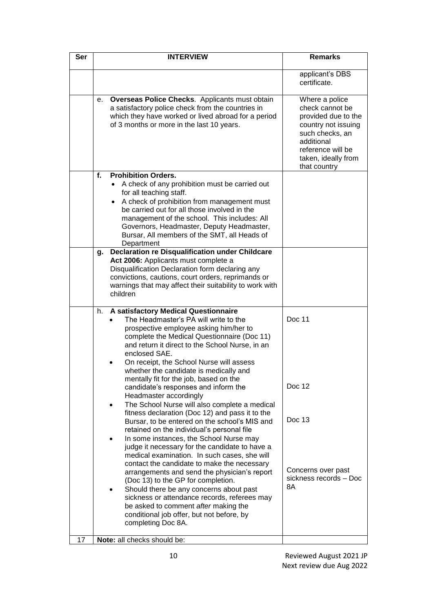| Ser | <b>INTERVIEW</b>                                                                                                                                                                                                                                                                                                                                                                                                                                                                                                                                                                                                                                                                                                                                                                                                                                                                                                                        | <b>Remarks</b>                                                                                                                                                               |
|-----|-----------------------------------------------------------------------------------------------------------------------------------------------------------------------------------------------------------------------------------------------------------------------------------------------------------------------------------------------------------------------------------------------------------------------------------------------------------------------------------------------------------------------------------------------------------------------------------------------------------------------------------------------------------------------------------------------------------------------------------------------------------------------------------------------------------------------------------------------------------------------------------------------------------------------------------------|------------------------------------------------------------------------------------------------------------------------------------------------------------------------------|
|     |                                                                                                                                                                                                                                                                                                                                                                                                                                                                                                                                                                                                                                                                                                                                                                                                                                                                                                                                         | applicant's DBS<br>certificate.                                                                                                                                              |
|     | <b>Overseas Police Checks.</b> Applicants must obtain<br>е.<br>a satisfactory police check from the countries in<br>which they have worked or lived abroad for a period<br>of 3 months or more in the last 10 years.                                                                                                                                                                                                                                                                                                                                                                                                                                                                                                                                                                                                                                                                                                                    | Where a police<br>check cannot be<br>provided due to the<br>country not issuing<br>such checks, an<br>additional<br>reference will be<br>taken, ideally from<br>that country |
|     | <b>Prohibition Orders.</b><br>f.<br>A check of any prohibition must be carried out<br>$\bullet$<br>for all teaching staff.<br>A check of prohibition from management must<br>$\bullet$<br>be carried out for all those involved in the<br>management of the school. This includes: All<br>Governors, Headmaster, Deputy Headmaster,<br>Bursar, All members of the SMT, all Heads of<br>Department                                                                                                                                                                                                                                                                                                                                                                                                                                                                                                                                       |                                                                                                                                                                              |
|     | <b>Declaration re Disqualification under Childcare</b><br>g.<br>Act 2006: Applicants must complete a<br>Disqualification Declaration form declaring any<br>convictions, cautions, court orders, reprimands or<br>warnings that may affect their suitability to work with<br>children                                                                                                                                                                                                                                                                                                                                                                                                                                                                                                                                                                                                                                                    |                                                                                                                                                                              |
|     | A satisfactory Medical Questionnaire<br>h.<br>The Headmaster's PA will write to the<br>prospective employee asking him/her to<br>complete the Medical Questionnaire (Doc 11)<br>and return it direct to the School Nurse, in an<br>enclosed SAE.<br>On receipt, the School Nurse will assess<br>whether the candidate is medically and<br>mentally fit for the job, based on the<br>candidate's responses and inform the<br>Headmaster accordingly<br>The School Nurse will also complete a medical<br>fitness declaration (Doc 12) and pass it to the<br>Bursar, to be entered on the school's MIS and<br>retained on the individual's personal file<br>In some instances, the School Nurse may<br>judge it necessary for the candidate to have a<br>medical examination. In such cases, she will<br>contact the candidate to make the necessary<br>arrangements and send the physician's report<br>(Doc 13) to the GP for completion. | Doc 11<br>Doc 12<br>Doc 13<br>Concerns over past<br>sickness records - Doc<br>8A                                                                                             |
| 17  | Should there be any concerns about past<br>sickness or attendance records, referees may<br>be asked to comment after making the<br>conditional job offer, but not before, by<br>completing Doc 8A.<br>Note: all checks should be:                                                                                                                                                                                                                                                                                                                                                                                                                                                                                                                                                                                                                                                                                                       |                                                                                                                                                                              |
|     |                                                                                                                                                                                                                                                                                                                                                                                                                                                                                                                                                                                                                                                                                                                                                                                                                                                                                                                                         |                                                                                                                                                                              |

10 Reviewed August 2021 JP Next review due Aug 2022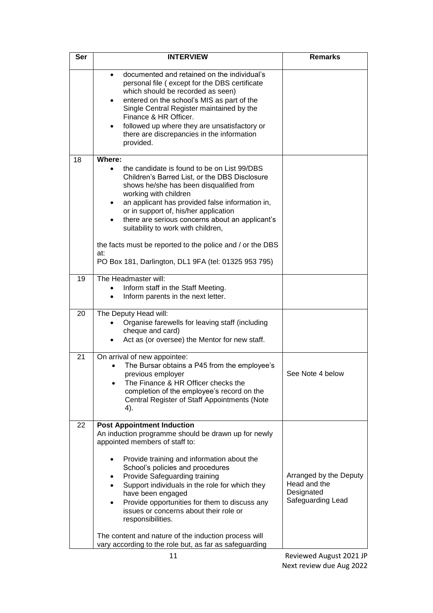| <b>Ser</b> | <b>INTERVIEW</b>                                                                                                                                                                                                                                                                                                                                                                                                                                                                               | <b>Remarks</b>                                                            |
|------------|------------------------------------------------------------------------------------------------------------------------------------------------------------------------------------------------------------------------------------------------------------------------------------------------------------------------------------------------------------------------------------------------------------------------------------------------------------------------------------------------|---------------------------------------------------------------------------|
|            | documented and retained on the individual's<br>personal file (except for the DBS certificate<br>which should be recorded as seen)<br>entered on the school's MIS as part of the<br>٠<br>Single Central Register maintained by the<br>Finance & HR Officer.<br>followed up where they are unsatisfactory or<br>there are discrepancies in the information<br>provided.                                                                                                                          |                                                                           |
| 18         | Where:                                                                                                                                                                                                                                                                                                                                                                                                                                                                                         |                                                                           |
|            | the candidate is found to be on List 99/DBS<br>Children's Barred List, or the DBS Disclosure<br>shows he/she has been disqualified from<br>working with children<br>an applicant has provided false information in,<br>or in support of, his/her application<br>there are serious concerns about an applicant's<br>$\bullet$<br>suitability to work with children,<br>the facts must be reported to the police and / or the DBS<br>at:<br>PO Box 181, Darlington, DL1 9FA (tel: 01325 953 795) |                                                                           |
| 19         | The Headmaster will:                                                                                                                                                                                                                                                                                                                                                                                                                                                                           |                                                                           |
|            | Inform staff in the Staff Meeting.<br>Inform parents in the next letter.                                                                                                                                                                                                                                                                                                                                                                                                                       |                                                                           |
| 20         | The Deputy Head will:<br>Organise farewells for leaving staff (including<br>cheque and card)<br>Act as (or oversee) the Mentor for new staff.                                                                                                                                                                                                                                                                                                                                                  |                                                                           |
| 21         | On arrival of new appointee:<br>The Bursar obtains a P45 from the employee's<br>previous employer<br>The Finance & HR Officer checks the<br>completion of the employee's record on the<br>Central Register of Staff Appointments (Note<br>4).                                                                                                                                                                                                                                                  | See Note 4 below                                                          |
| 22         | <b>Post Appointment Induction</b><br>An induction programme should be drawn up for newly<br>appointed members of staff to:                                                                                                                                                                                                                                                                                                                                                                     |                                                                           |
|            | Provide training and information about the<br>School's policies and procedures<br>Provide Safeguarding training<br>Support individuals in the role for which they<br>have been engaged<br>Provide opportunities for them to discuss any<br>٠<br>issues or concerns about their role or<br>responsibilities.                                                                                                                                                                                    | Arranged by the Deputy<br>Head and the<br>Designated<br>Safeguarding Lead |
|            | The content and nature of the induction process will<br>vary according to the role but, as far as safeguarding                                                                                                                                                                                                                                                                                                                                                                                 |                                                                           |
|            | 11                                                                                                                                                                                                                                                                                                                                                                                                                                                                                             | Reviewed August 2021 JP                                                   |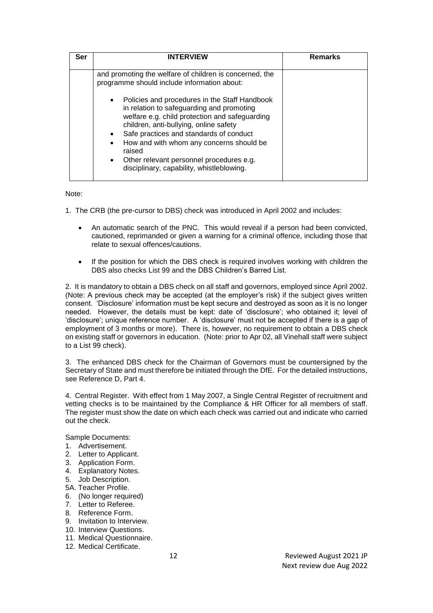| Ser | <b>INTERVIEW</b>                                                                                                                                                                                                                                                                                                                                                                                  | <b>Remarks</b> |
|-----|---------------------------------------------------------------------------------------------------------------------------------------------------------------------------------------------------------------------------------------------------------------------------------------------------------------------------------------------------------------------------------------------------|----------------|
|     | and promoting the welfare of children is concerned, the<br>programme should include information about:                                                                                                                                                                                                                                                                                            |                |
|     | • Policies and procedures in the Staff Handbook<br>in relation to safeguarding and promoting<br>welfare e.g. child protection and safeguarding<br>children, anti-bullying, online safety<br>• Safe practices and standards of conduct<br>How and with whom any concerns should be<br>raised<br>Other relevant personnel procedures e.g.<br>$\bullet$<br>disciplinary, capability, whistleblowing. |                |

Note:

1. The CRB (the pre-cursor to DBS) check was introduced in April 2002 and includes:

- An automatic search of the PNC. This would reveal if a person had been convicted, cautioned, reprimanded or given a warning for a criminal offence, including those that relate to sexual offences/cautions.
- If the position for which the DBS check is required involves working with children the DBS also checks List 99 and the DBS Children's Barred List.

2. It is mandatory to obtain a DBS check on all staff and governors, employed since April 2002. (Note: A previous check may be accepted (at the employer's risk) if the subject gives written consent. 'Disclosure' information must be kept secure and destroyed as soon as it is no longer needed. However, the details must be kept: date of 'disclosure'; who obtained it; level of 'disclosure'; unique reference number. A 'disclosure' must not be accepted if there is a gap of employment of 3 months or more). There is, however, no requirement to obtain a DBS check on existing staff or governors in education. (Note: prior to Apr 02, all Vinehall staff were subject to a List 99 check).

3. The enhanced DBS check for the Chairman of Governors must be countersigned by the Secretary of State and must therefore be initiated through the DfE. For the detailed instructions, see Reference D, Part 4.

4. Central Register. With effect from 1 May 2007, a Single Central Register of recruitment and vetting checks is to be maintained by the Compliance & HR Officer for all members of staff. The register must show the date on which each check was carried out and indicate who carried out the check.

Sample Documents:

- 1. Advertisement.
- 2. Letter to Applicant.
- 3. Application Form.
- 4. Explanatory Notes.
- 5. Job Description.
- 5A. Teacher Profile.
- 6. (No longer required)
- 7. Letter to Referee.
- 8. Reference Form.
- 9. Invitation to Interview.
- 10. Interview Questions.
- 11. Medical Questionnaire.
- 12. Medical Certificate.